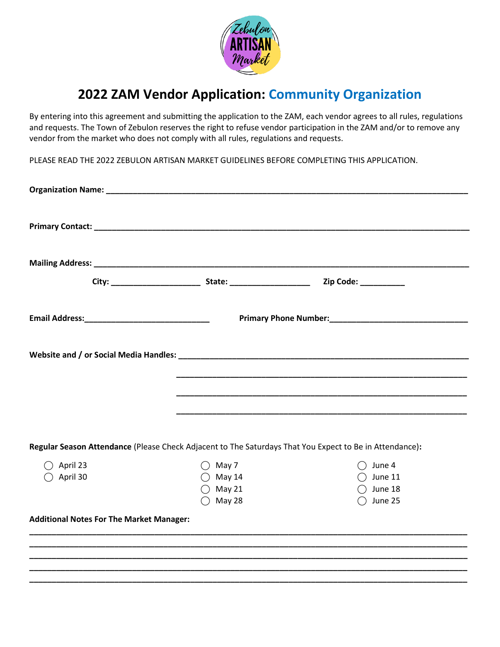

## **2022 ZAM Vendor Application: Community Organization**

By entering into this agreement and submitting the application to the ZAM, each vendor agrees to all rules, regulations and requests. The Town of Zebulon reserves the right to refuse vendor participation in the ZAM and/or to remove any vendor from the market who does not comply with all rules, regulations and requests.

PLEASE READ THE 2022 ZEBULON ARTISAN MARKET GUIDELINES BEFORE COMPLETING THIS APPLICATION.

|                                                 |                                                                      | Zip Code: __________                                                                                    |
|-------------------------------------------------|----------------------------------------------------------------------|---------------------------------------------------------------------------------------------------------|
|                                                 |                                                                      |                                                                                                         |
|                                                 |                                                                      |                                                                                                         |
|                                                 |                                                                      |                                                                                                         |
|                                                 |                                                                      |                                                                                                         |
|                                                 |                                                                      | Regular Season Attendance (Please Check Adjacent to The Saturdays That You Expect to Be in Attendance): |
| April 23<br>$\bigcirc$ April 30                 | $\bigcirc$ May 7<br>$\bigcirc$ May 14<br>$\bigcirc$ May 21<br>May 28 | $\bigcirc$ June 4<br>$\bigcirc$ June 11<br>June 18<br>June 25                                           |
| <b>Additional Notes For The Market Manager:</b> |                                                                      |                                                                                                         |
|                                                 |                                                                      |                                                                                                         |
|                                                 |                                                                      |                                                                                                         |
|                                                 |                                                                      |                                                                                                         |
|                                                 |                                                                      |                                                                                                         |